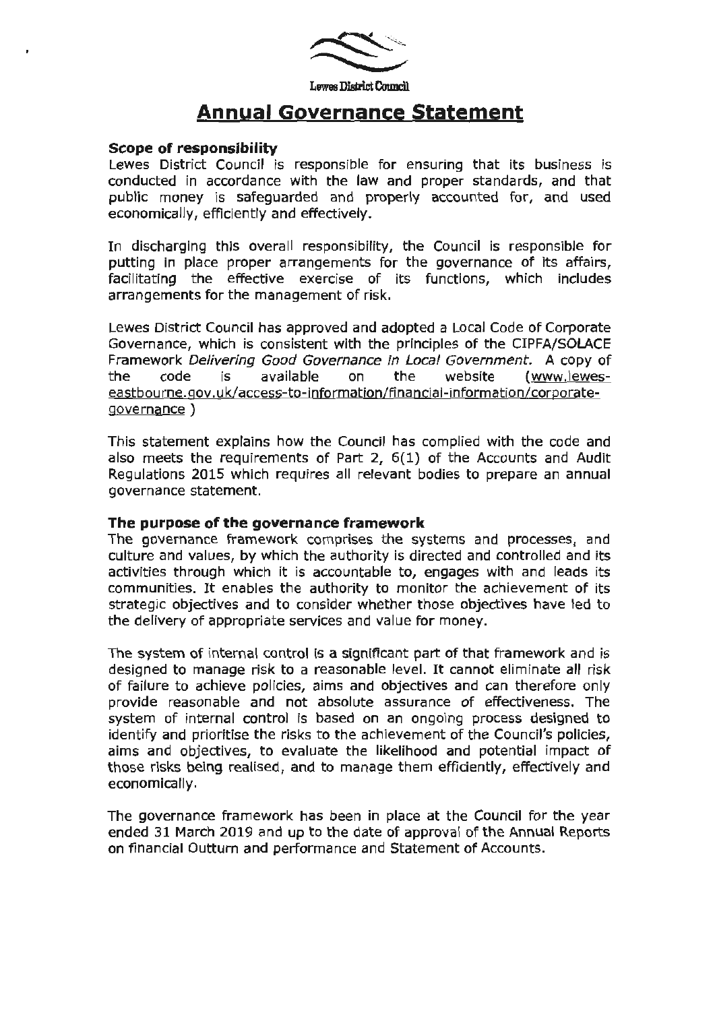

# **Annual Governance Statement**

#### **Scope of responsibility**

Lewes District Council is responsible for ensuring that its business is conducted in accordance with the law and proper standards, and that public money is safeguarded and properly accounted for, and used economically, efficiently and effectively.

In discharging this overall responsibllity, the Council is responsible for putting in place proper arrangements for the governance of its affairs, facilitating the effective exercise of its functions, which includes arrangements for the management of risk.

Lewes District Council has approved and adopted a Local Code of Corporate Governance, which is consistent with the principles of the CIPFA/SOLACE Framework Delivering Good Governance in Local Government. A copy of the code is available on the website (www.!eweseastbourne.gov.uk/access-to-information/financial-information/corporategovernance)

This statement explains how the Council has complied with the code and also meets the requirements of Part 2, 6(1) of the Accounts and Audit Regulations 2015 which requires all relevant bodies to prepare an annual governance statement.

#### **The purpose of the governance framework**

The governance framework comprises the systems and processes, and culture and values, by which the authority is directed and controlled and its activities through which it is accountable to, engages with and leads its communities. It enables the authority to monitor the achievement of its strategic objectives and to consider whether those objectives have led to the delivery of appropriate services and value for money.

The system of internal control is a significant part of that framework and is designed to manage risk to a reasonable level. It cannot eliminate all risk of failure to achieve policies, aims and objectives and can therefore only provide reasonable and not absolute assurance of effectiveness. The system of internal control is based on an ongoing process designed to identify and prioritise the risks to the achievement of the Council's policies, aims and objectives, to evaluate the likelihood and potential impact of those risks being realised, and to manage them efficiently, effectively and economically.

The governance framework has been in place at the Council for the year ended 31 March 2019 and up to the date of approval of the Annual Reports on financial Outturn and performance and Statement of Accounts.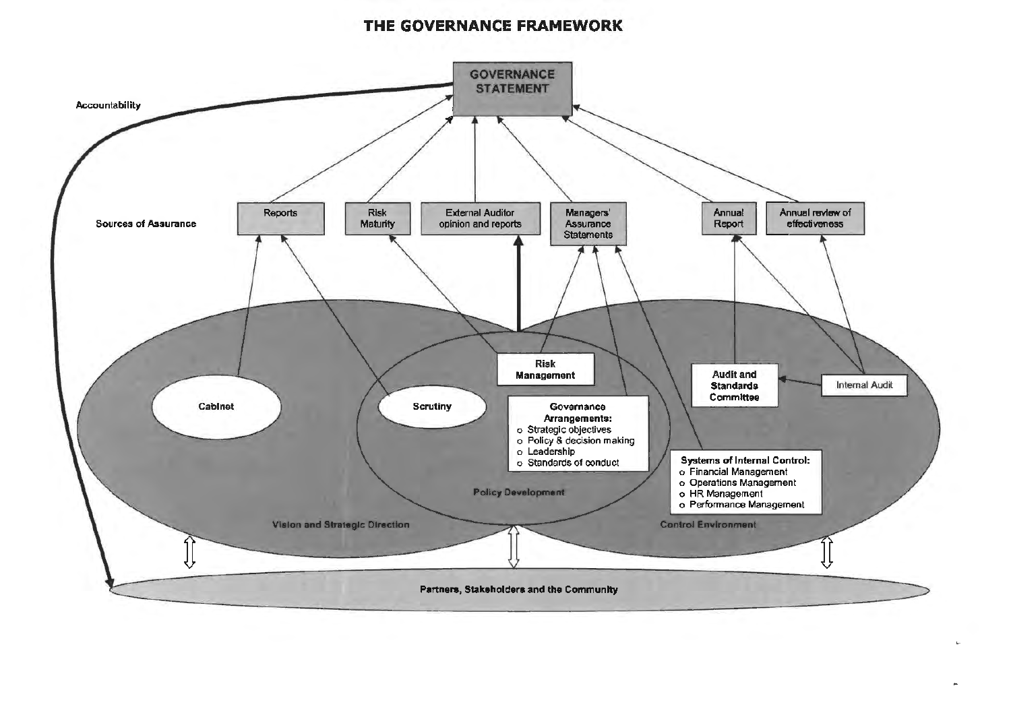#### THE GOVERNANCE FRAMEWORK

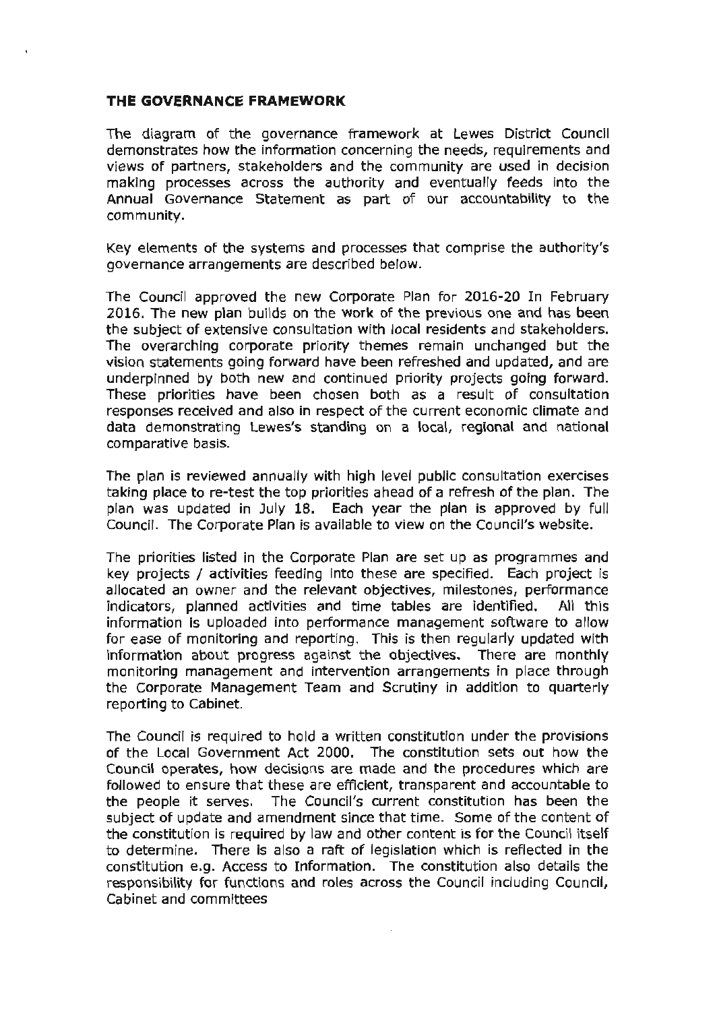#### **THE GOVERNANCE FRAMEWORK**

The diagram of the governance framework at Lewes District Councll demonstrates how the information concerning the needs, requirements and views of partners, stakeholders and the community are used in decision making processes across the authority and eventually feeds into the Annual Governance Statement as part of our accountability to the community.

Key elements of the systems and processes that comprise the authority's governance arrangements are described below.

The Council approved the new Corporate Plan for 2016-20 In February 2016. The new plan builds on the **work** of the previous one and has been the subject of extensive consultation with local residents and stakeholders. The overarching corporate priority themes remain unchanged but the vision statements going forward have been refreshed and updated, and are underpinned by both new and continued priority projects going forward. These priorities have been chosen both as a result of consultation responses received and also in respect of the current economic climate and data demonstrating Lewes's standing on a local, regional and national comparative basis.

The plan is reviewed annually with high level public consultation exercises taking place to re-test the top priorities ahead of a refresh of the plan. The plan was updated in July 18. Each year the plan is approved by full Council. The Corporate Plan is available to view on the Council's website.

The priorities listed in the Corporate Plan are set up as programmes and key projects / activities feeding into these are specified. Each project is allocated an owner and the relevant objectives, milestones, performance indicators, planned activities and time tables are identified. All this information is uploaded into performance management software to allow for ease of monitoring and reporting. This is then regularly updated with information about progress against the objectives. There are monthly monitoring management and intervention arrangements in place through the Corporate Management Team and Scrutiny in addition to quarterly reporting to Cabinet.

The Council is required to hold a written constitution under the provisions of the Local Government Act 2000. The constitution sets out how the Council operates, how decisions are made and the procedures which are followed to ensure that these are efficient, transparent and accountable to the people it serves. The Council's current constitution has been the subject of update and amendment since that time. Some of the content of the constitution is required by law and other content is for the Council itself to determine. There is also a raft of legislation which is reflected in the constitution e.g. Access to Information. The constitution also details the responsibility for functions and roles across the Council including Council, Cabinet and committees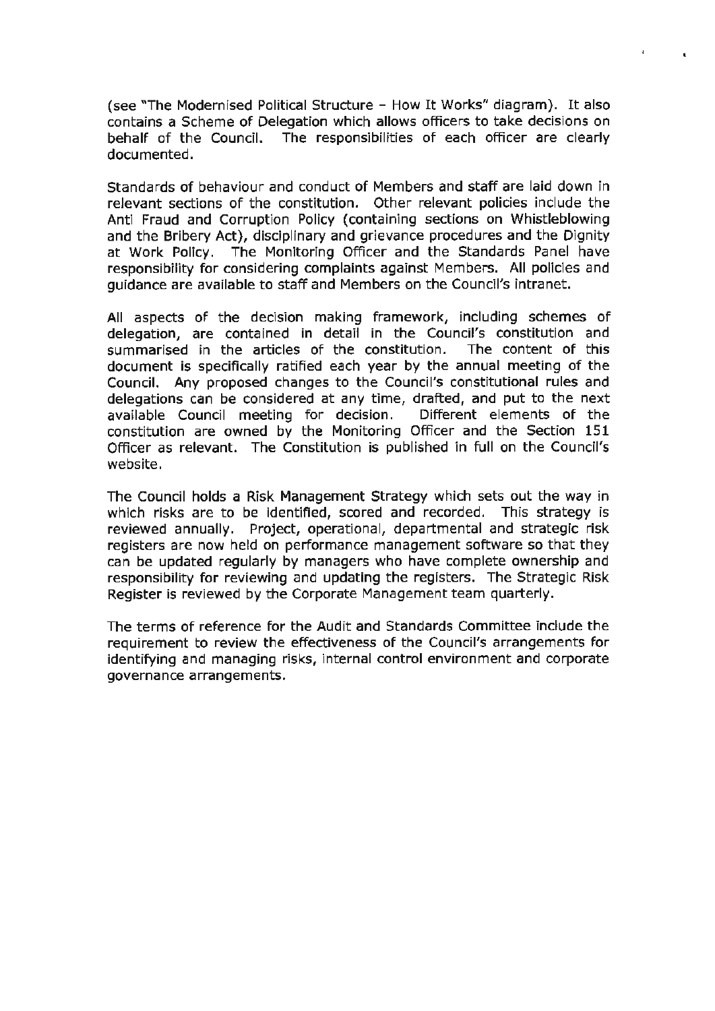(see "The Modernised Political Structure - How It Works" diagram). It also contains a Scheme of Delegation which allows officers to take decisions on behalf of the Council. The responsibilities of each officer are clearly documented.

 $\mathbf{I}$ 

Standards of behaviour and conduct of Members and staff are laid down in relevant sections of the constitution. Other relevant policies include the Anti Fraud and Corruption Policy (containing sections on Whistleblowing and the Bribery Act), disciplinary and grievance procedures and the Dignity at Work Policy. The Monitoring Officer and the Standards Panel have responsibility for considering complaints against Members. All policies and guidance are available to staff and Members on the Council's intranet.

All aspects of the decision making framework, including schemes of delegation, are contained in detail in the Council's constitution and summarised in the articles of the constitution. The content of this document is specifically ratified each year by the annual meeting of the Council. Any proposed changes to the Council's constitutional rules and delegations can be considered at any time, drafted, and put to the next available Council meeting for decision. Different elements of the constitution are owned by the Monitoring Officer and the Section 151 Officer as relevant. The Constitution is published in full on the Council's website.

The Council holds a Risk Management Strategy which sets out the way in which risks are to be identified, scored and recorded. This strategy is reviewed annually. Project, operational, departmental and strategic risk registers are now held on performance management software so that they can be updated regularly by managers who have complete ownership and responsibility for reviewing and updating the registers. The Strategic Risk Register is reviewed by the Corporate Management team quarterly.

The terms of reference for the Audit and Standards Committee include the requirement to review the effectiveness of the Council's arrangements for identifying and managing risks, internal control environment and corporate governance arrangements.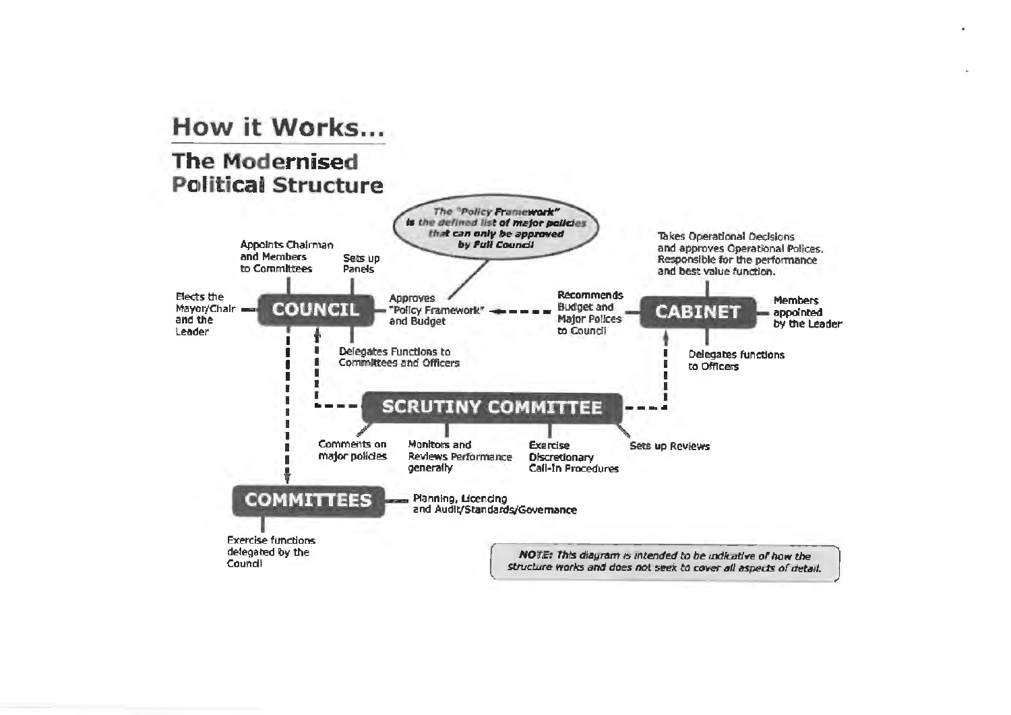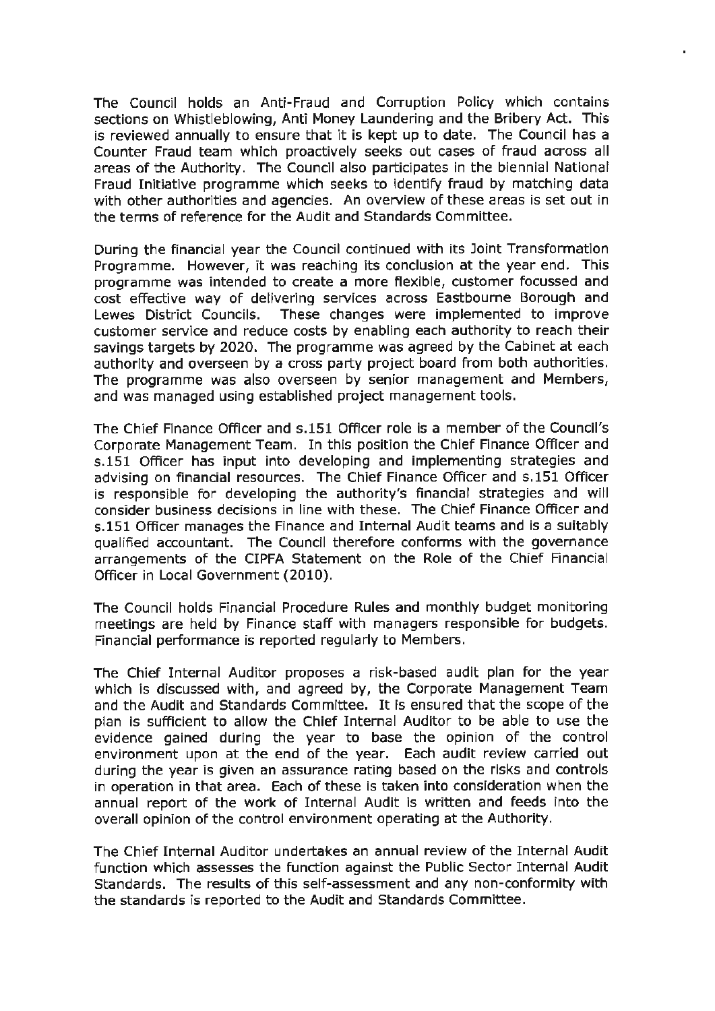The Council holds an Anti-Fraud and Corruption Policy which contains sections on Whistleblowing, Anti Money Laundering and the Bribery Act. This is reviewed annually to ensure that it is kept up to date. The Council has a Counter Fraud team which proactively seeks out cases of fraud across all areas of the Authority. The Council also participates in the biennial National Fraud Initiative programme which seeks to identify fraud by matching data with other authorities and agencies. An overview of these areas is set out in the terms of reference for the Audit and Standards Committee.

During the financial year the Council continued with its Joint Transformation Programme. However, it was reaching its conclusion at the year end. This programme was intended to create a more flexible, customer focussed and cost effective way of delivering services across Eastbourne Borough and Lewes District Councils. These changes were implemented to improve customer service and reduce costs by enabling each authority to reach their savings targets by 2020. The programme was agreed by the Cabinet at each authority and overseen by a cross party project board from both authorities. The programme was also overseen by senior management and Members, and was managed using established project management tools.

The Chief Finance Officer and s.151 Officer role is a member of the Council's Corporate Management Team. In this position the Chief Finance Officer and s.151 Officer has input into developing and implementing strategies and advising on financial resources. The Chief Finance Officer and s.151 Officer is responsible for developing the authority's financial strategies and will consider business decisions in line with these. The Chief Finance Officer and s.151 Officer manages the Finance and Internal Audit teams and is a suitably qualified accountant. The Council therefore conforms with the governance arrangements of the CIPFA Statement on the Role of the Chief Financial Officer in Local Government (2010).

The Council holds Financial Procedure Rules and monthly budget monitoring meetings are held by Finance staff with managers responsible for budgets. Financial performance is reported regularly to Members.

The Chief Internal Auditor proposes a risk-based audit plan for the year which is discussed with, and agreed by, the Corporate Management Team and the Audit and Standards Committee. It is ensured that the scope of the plan is sufficient to allow the Chief Internal Auditor to be able to use the evidence gained during the year to base the opinion of the control environment upon at the end of the year. Each audit review carried out during the year is given an assurance rating based on the risks and controls in operation in that area. Each of these is taken into consideration when the annual report of the work of Internal Audit is written and feeds into the overall opinion of the control environment operating at the Authority.

The Chief Internal Auditor undertakes an annual review of the Internal Audit function which assesses the function against the Public Sector Internal Audit Standards. The results of this self-assessment and any non-conformity with the standards is reported to the Audit and Standards Committee.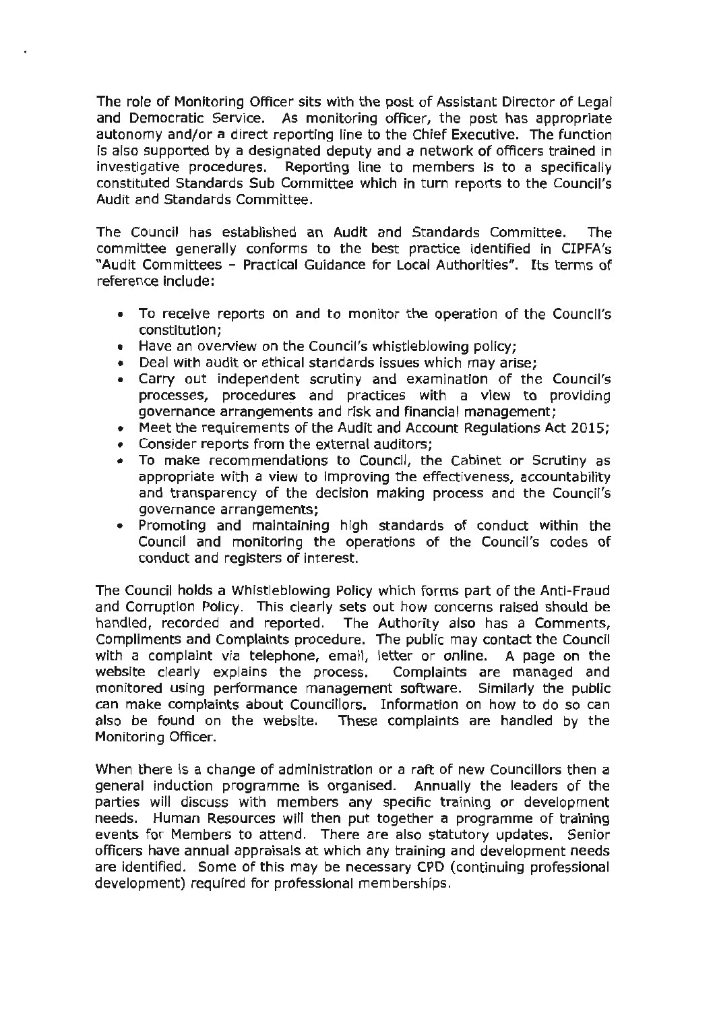The role of Monitoring Officer sits with the post of Assistant Director of Legal and Democratic Service. As monitoring officer, the post has appropriate autonomy and/or a direct reporting line to the Chief Executive. The function is also supported by a designated deputy and a network of officers trained in investigative procedures. Reporting line to members is to a specifically constituted Standards Sub Committee which in turn reports to the Council's Audit and Standards Committee.

The Council has established an Audit and Standards Committee. The committee generally conforms to the best practice identified in CIPFA's "Audit Committees - Practical Guidance for Local Authorities". Its terms of reference include:

- To receive reports on and to monitor the operation of the Council's constitution;
- Have an overview on the Council's whistleblowing policy;
- Deal with audit or ethical standards issues which may arise;
- Carry out independent scrutiny and examination of the Council's processes, procedures and practices with a view to providing governance arrangements and risk and financial management;
- Meet the requirements of the Audit and Account Regulations Act 2015;
- Consider reports from the external auditors;
- To make recommendations to Council, the Cabinet or Scrutiny as appropriate with a view to improving the effectiveness, accountability and transparency of the decision making process and the Council's governance arrangements;
- Promoting and maintaining high standards of conduct within the Council and monitoring the operations of the Council's codes of conduct and registers of interest.

The Council holds a Whistleblowing Policy which forms part of the Anti-Fraud and Corruption Policy. This clearly sets out how concerns raised should be handled, recorded and reported. The Authority also has a Comments, Compliments and Complaints procedure. The public may contact the Council with a complaint via telephone, email, letter or online. A page on the website dearly explains the process. Complaints are managed and monitored using performance management software. Similarly the public can make complaints about Councillors. Information on how to do so can also be found on the website. These complaints are handled by the Monitoring Officer.

When there is a change of administration or a raft of new Councillors then a general induction programme is organised. Annually the leaders of the parties will discuss with members any specific training or development needs. Human Resources will then put together a programme of training events for Members to attend. There are also statutory updates. Senior officers have annual appraisals at which any training and development needs are identified. Some of this may be necessary CPD (continuing professional development) required for professional memberships.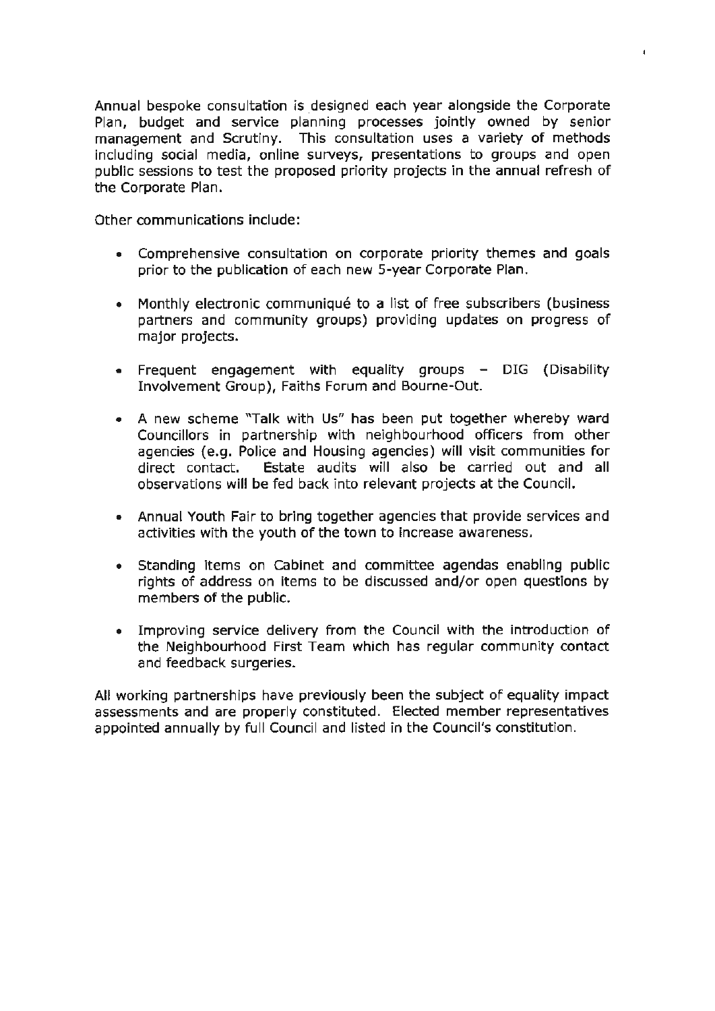Annual bespoke consultation is designed each year alongside the Corporate Plan, budget and service planning processes jointly owned by senior management and Scrutiny. This consultation uses a variety of methods including social media, online surveys, presentations to groups and open public sessions to test the proposed priority projects in the annual refresh of the Corporate Plan.

 $\mathbf{I}$ 

Other communications include:

- Comprehensive consultation on corporate priority themes and goals prior to the publication of each new 5-year Corporate Plan.
- Monthly electronic communiqué to a list of free subscribers (business partners and community groups) providing updates on progress of major projects.
- Frequent engagement with equality groups DIG (Disability Involvement Group), Faiths Forum and Bourne-Out.
- A new scheme "Talk with Us" has been put together whereby ward Councillors in partnership with neighbourhood officers from other agencies (e.g. Police and Housing agencies) will visit communities for direct contact. Estate audits will also be carried out and all observations will be fed back into relevant projects at the Council.
- Annual Youth Fair to bring together agencies that provide services and activities with the youth of the town to increase awareness.
- Standing items on Cabinet and committee agendas enabling public rights of address on items to be discussed and/or open questions by members of the public.
- Improving service delivery from the Council with the introduction of the Neighbourhood First Team which has regular community contact and feedback surgeries.

All working partnerships have previously been the subject of equality impact assessments and are properly constituted. Elected member representatives appointed annually by full Council and listed in the Council's constitution.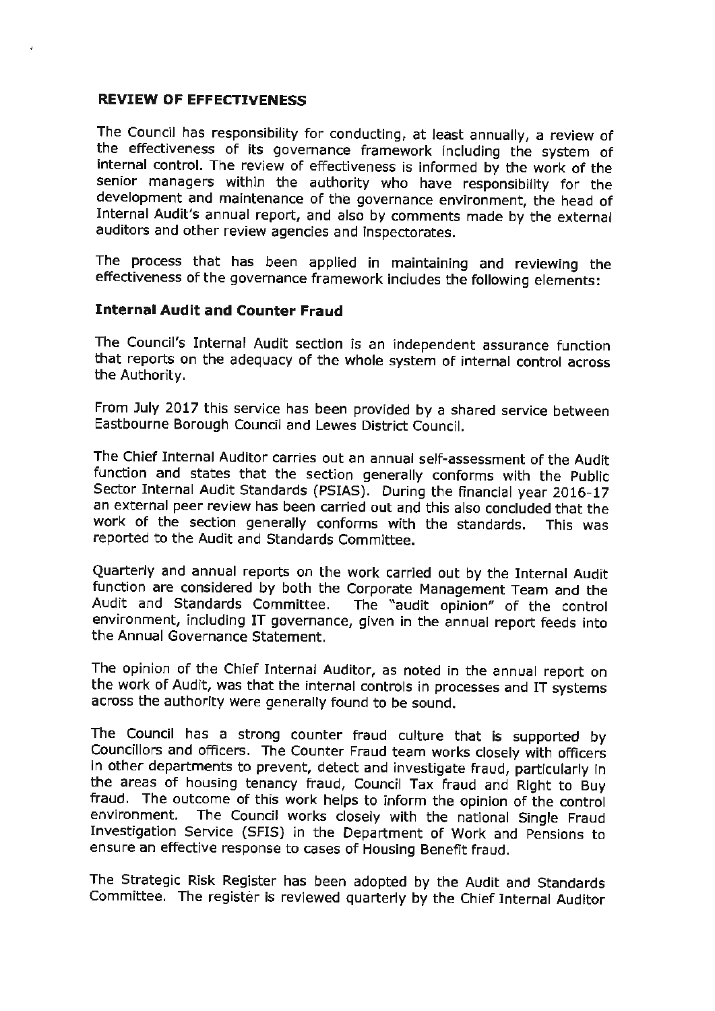## **REVIEW OF EFFECTIVENESS**

The Council has responsibility for conducting, at least annually, a review of the effectiveness of its governance framework including the system of internal control. The review of effectiveness is informed by the work of the senior managers within the authority who have responsibility for the development and maintenance of the governance environment, the head of Internal Audit's annual report, and also by comments made by the external auditors and other review agencies and inspectorates.

The process that has been applied in maintaining and reviewing the effectiveness of the governance framework includes the following elements:

## **Internal Audit and Counter Fraud**

The Council's Internal Audit section is an independent assurance function that reports on the adequacy of the whole system of internal control across the Authority.

From July 2017 this service has been provided by a shared service between Eastbourne Borough Council and Lewes District Council.

The Chief Internal Auditor carries out an annual self-assessment of the Audit function and states that the section generally conforms with the Public Sector Internal Audit Standards (PSIAS). During the financial year 2016-17 an external peer review has been carried out and this also concluded that the work of the section generally conforms with the standards. This was reported to the Audit and Standards Committee.

Quarterly and annual reports on the work carried out by the Internal Audit function are considered by both the Corporate Management Team and the Audit and Standards Committee. The "audit opinion" of the control environment, including IT governance, given in the annual report feeds into the Annual Governance Statement.

The opinion of the Chief Internal Auditor, as noted in the annual report on the work of Audit, was that the internal controls in processes and IT systems across the authority were generally found to be sound.

The Council has a strong counter fraud culture that is supported by Councillors and officers. The Counter Fraud team works closely with officers in other departments to prevent, detect and investigate fraud, particularly in the areas of housing tenancy fraud, Council Tax fraud and Right to Buy fraud. The outcome of this work helps to inform the opinion of the control environment. The Council works closely with the national Single Fraud Investigation Service (SFIS) in the Department of Work and Pensions to ensure an effective response to cases of Housing Benefit fraud.

The Strategic Risk Register has been adopted by the Audit and Standards Committee. The register is reviewed quarterly by the Chief Internal Auditor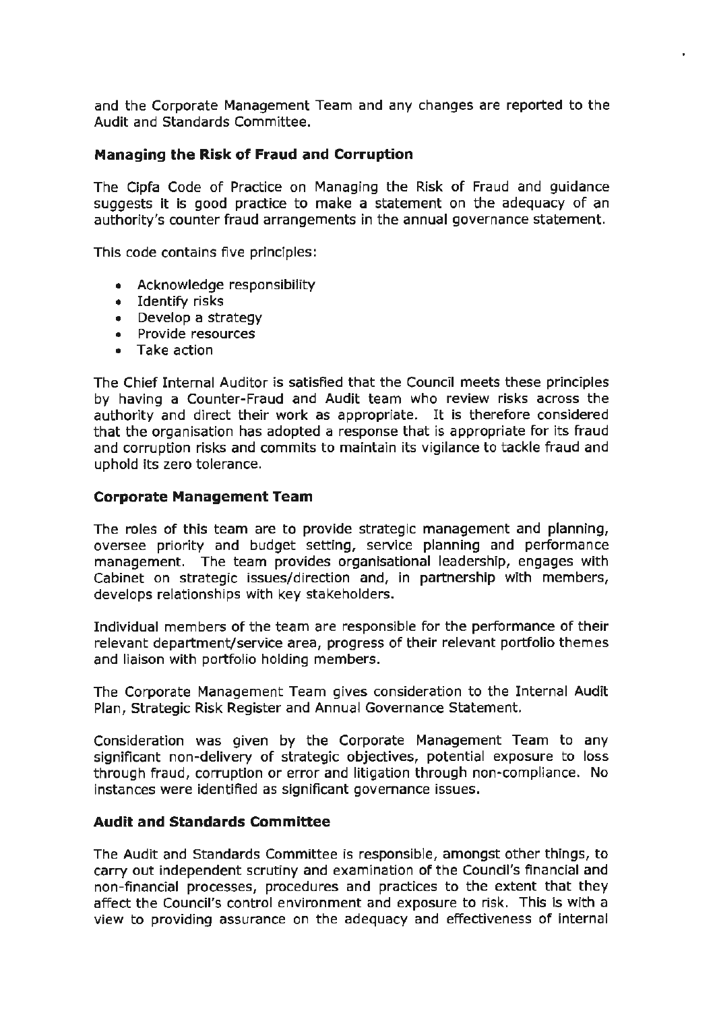and the Corporate Management Team and any changes are reported to the Audit and Standards Committee.

#### **Managing the Risk of Fraud and Corruption**

The Cipfa Code of Practice on Managing the Risk of Fraud and guidance suggests it is good practice to make a statement on the adequacy of an authority's counter fraud arrangements in the annual governance statement.

This code contains five principles:

- Acknowledge responsibility
- Identify risks
- Develop a strategy
- Provide resources
- Take action

The Chief Internal Auditor is satisfied that the Council meets these principles by having a Counter-Fraud and Audit team who review risks across the authority and direct their work as appropriate. It is therefore considered that the organisation has adopted a response that is appropriate for its fraud and corruption risks and commits to maintain its vigilance to tackle fraud and uphold its zero tolerance.

#### **Corporate Management Team**

The roles of this team are to provide strategic management and planning, oversee priority and budget setting, service planning and performance management. The team provides organisational leadership, engages with Cabinet on strategic issues/direction and, in partnership with members, develops relationships with key stakeholders.

Individual members of the team are responsible for the performance of their relevant department/service area, progress of their relevant portfolio themes and liaison with portfolio holding members.

The Corporate Management Team gives consideration to the Internal Audit Plan, Strategic Risk Register and Annual Governance Statement.

Consideration was given by the Corporate Management Team to any significant non-delivery of strategic objectives, potential exposure to loss through fraud, corruption or error and litigation through non-compliance. No instances were identified as significant governance issues.

#### **Audit and Standards Committee**

The Audit and Standards Committee is responsible, amongst other things, to carry out independent scrutiny and examination of the Council's financial and non-financial processes, procedures and practices to the extent that they affect the Council's control environment and exposure to risk. This is with a view to providing assurance on the adequacy and effectiveness of internal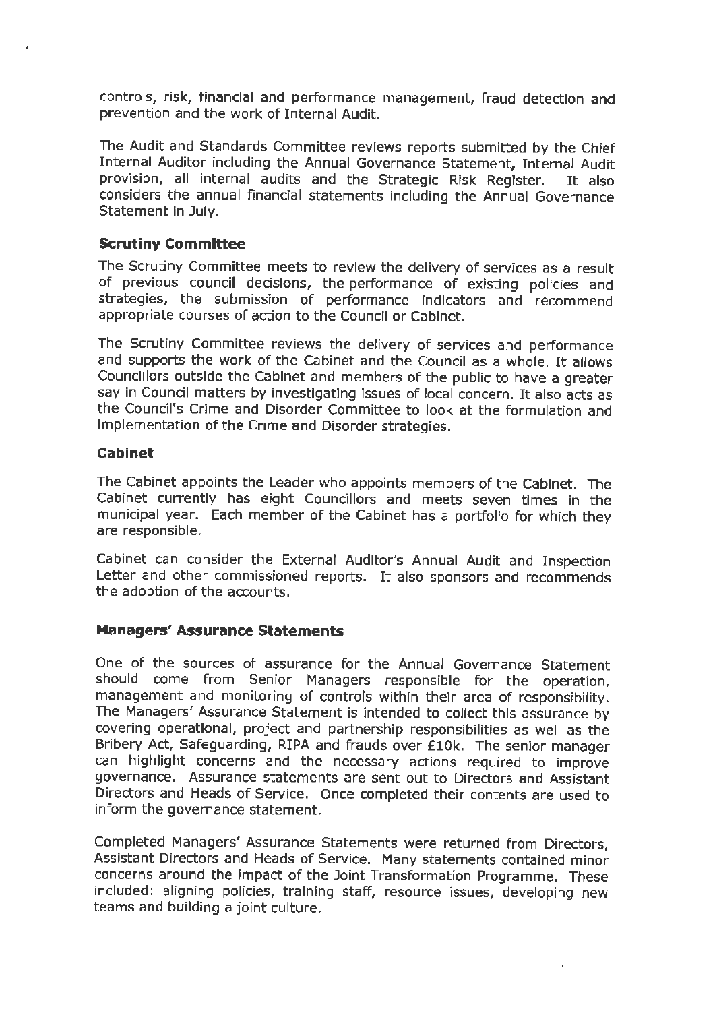controls, risk, financial and performance management, fraud detection and prevention and the work of Internal Audit.

The Audit and Standards Committee reviews reports submitted by the Chief Internal Auditor including the Annual Governance Statement, Internal Audit provision, all internal audits and the Strategic **Risk** Register. It also considers the annual financial statements including the Annual Governance Statement in July.

## **Scrutiny Committee**

The Scrutiny Committee meets to review the delivery of services as a result of previous council decisions, the performance of existing policies and strategies, the submission of performance indicators and recommend appropriate courses of action to the Council or Cabinet.

The Scrutiny Committee reviews the delivery of services and performance and supports the work of the Cabinet and the Council as a whole. It allows Councillors outside the Cabinet and members of the public to have a greater say in Council matters by investigating issues of local concern. It also acts as the Council's Crime and Disorder Committee to look at the formulation and implementation of the Crime and Disorder strategies.

#### **Cabinet**

The Cabinet appoints the Leader who appoints members of the Cabinet. The Cabinet currently has eight Councillors and meets seven times in the municipal year. Each member of the Cabinet has a portfolio for which they are responsible.

Cabinet can consider the External Auditor's Annual Audit and Inspection Letter and other commissioned reports. It also sponsors and recommends the adoption of the accounts.

#### **Managers' Assurance Statements**

One of the sources of assurance for the Annual Governance Statement should come from Senior Managers responsible for the operation, management and monitoring of controls within their area of responsibility. The Managers' Assurance Statement is intended to collect this assurance by covering operational, project and partnership responsibilities as well as the Bribery Act, Safeguarding, RIPA and frauds over £10k. The senior manager can highlight concerns and the necessary actions required to improve governance. Assurance statements are sent out to Directors and Assistant Directors and Heads of Service. Once completed their contents are used to inform the governance statement.

Completed Managers' Assurance Statements were returned from Directors, Assistant Directors and Heads of Service. Many statements contained minor concerns around the impact of the Joint Transformation Programme. These included: aligning policies, training staff, resource issues, developing new teams and building a joint culture.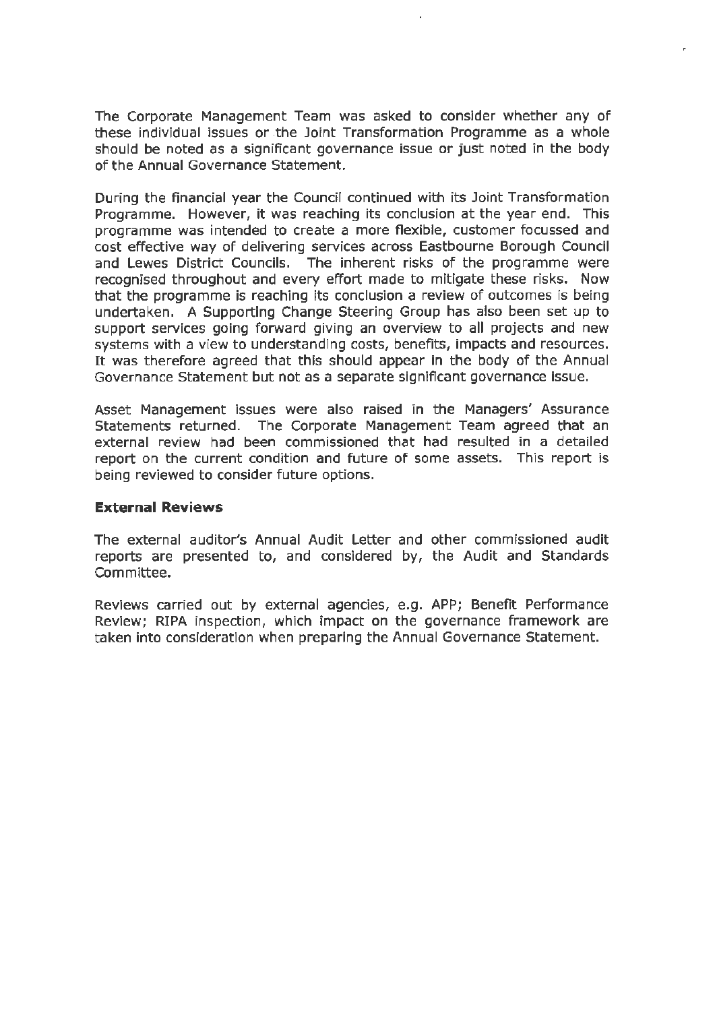The Corporate Management Team was asked to consider whether any of these individual issues or the Joint Transformation Programme as a whole should be noted as a significant governance issue or just noted in the body of the Annual Governance Statement.

During the financial year the Council continued with its Joint Transformation Programme. However, it was reaching its conclusion at the year end. This programme was intended to create a more flexible, customer focussed and cost effective way of delivering services across Eastbourne Borough Council and Lewes District Councils. The inherent risks of the programme were recognised throughout and every effort made to mitigate these risks. Now that the programme is reaching its conclusion a review of outcomes is being undertaken. A Supporting Change Steering Group has also been set up to support services going forward giving an overview to all projects and new systems with a view to understanding costs, benefits, impacts and resources. It was therefore agreed that this should appear in the body of the Annual Governance Statement but not as a separate significant governance issue.

Asset Management issues were also raised in the Managers' Assurance Statements returned. The Corporate Management Team agreed that an external review had been commissioned that had resulted in a detailed report on the current condition and future of some assets. This report is being reviewed to consider future options.

#### **External Reviews**

The external auditor's Annual Audit Letter and other commissioned audit reports are presented to, and considered by, the Audit and Standards Committee.

Reviews carried out by external agencies, e.g. **APP;** Benefit Performance Review; RIPA inspection, which impact on the governance framework are taken into consideration when preparing the Annual Governance Statement.